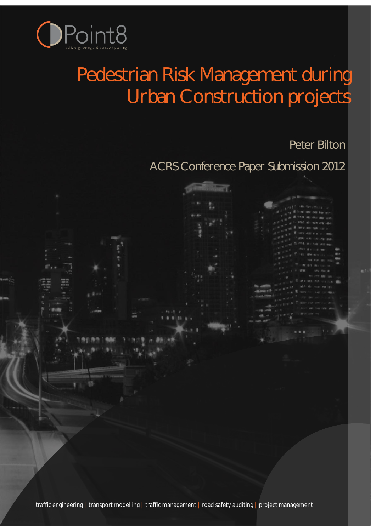

# Pedestrian Risk Management during Urban Construction projects

Peter Bilton

ACRS Conference Paper Submission 2012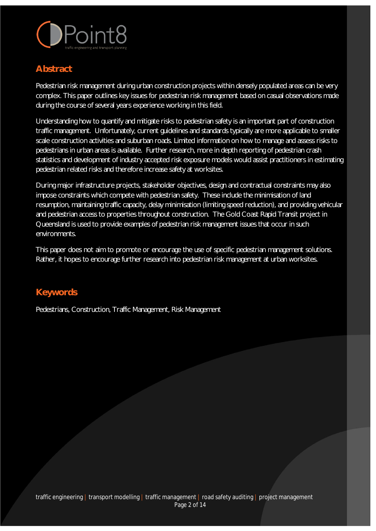

## **Abstract**

Pedestrian risk management during urban construction projects within densely populated areas can be very complex. This paper outlines key issues for pedestrian risk management based on casual observations made during the course of several years experience working in this field.

Understanding how to quantify and mitigate risks to pedestrian safety is an important part of construction traffic management. Unfortunately, current guidelines and standards typically are more applicable to smaller scale construction activities and suburban roads. Limited information on how to manage and assess risks to pedestrians in urban areas is available. Further research, more in depth reporting of pedestrian crash statistics and development of industry accepted risk exposure models would assist practitioners in estimating pedestrian related risks and therefore increase safety at worksites.

During major infrastructure projects, stakeholder objectives, design and contractual constraints may also impose constraints which compete with pedestrian safety. These include the minimisation of land resumption, maintaining traffic capacity, delay minimisation (limiting speed reduction), and providing vehicular and pedestrian access to properties throughout construction. The Gold Coast Rapid Transit project in Queensland is used to provide examples of pedestrian risk management issues that occur in such environments.

This paper does not aim to promote or encourage the use of specific pedestrian management solutions. Rather, it hopes to encourage further research into pedestrian risk management at urban worksites.

### **Keywords**

Pedestrians, Construction, Traffic Management, Risk Management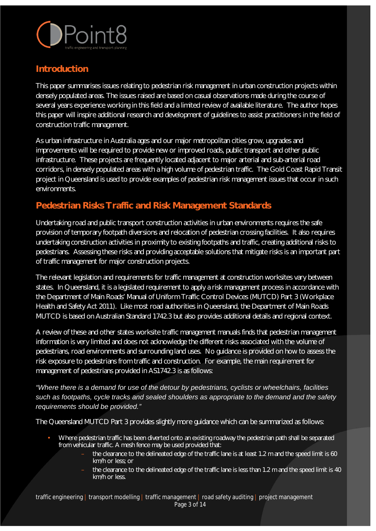

#### **Introduction**

This paper summarises issues relating to pedestrian risk management in urban construction projects within densely populated areas. The issues raised are based on casual observations made during the course of several years experience working in this field and a limited review of available literature. The author hopes this paper will inspire additional research and development of guidelines to assist practitioners in the field of construction traffic management.

As urban infrastructure in Australia ages and our major metropolitan cities grow, upgrades and improvements will be required to provide new or improved roads, public transport and other public infrastructure. These projects are frequently located adjacent to major arterial and sub-arterial road corridors, in densely populated areas with a high volume of pedestrian traffic. The Gold Coast Rapid Transit project in Queensland is used to provide examples of pedestrian risk management issues that occur in such environments.

# **Pedestrian Risks Traffic and Risk Management Standards**

Undertaking road and public transport construction activities in urban environments requires the safe provision of temporary footpath diversions and relocation of pedestrian crossing facilities. It also requires undertaking construction activities in proximity to existing footpaths and traffic, creating additional risks to pedestrians. Assessing these risks and providing acceptable solutions that mitigate risks is an important part of traffic management for major construction projects.

The relevant legislation and requirements for traffic management at construction worksites vary between states. In Queensland, it is a legislated requirement to apply a risk management process in accordance with the Department of Main Roads' Manual of Uniform Traffic Control Devices (MUTCD) Part 3 (Workplace Health and Safety Act 2011). Like most road authorities in Queensland, the Department of Main Roads MUTCD is based on Australian Standard 1742.3 but also provides additional details and regional context.

A review of these and other states worksite traffic management manuals finds that pedestrian management information is very limited and does not acknowledge the different risks associated with the volume of pedestrians, road environments and surrounding land uses. No guidance is provided on how to assess the risk exposure to pedestrians from traffic and construction. For example, the main requirement for management of pedestrians provided in AS1742.3 is as follows:

*"Where there is a demand for use of the detour by pedestrians, cyclists or wheelchairs, facilities such as footpaths, cycle tracks and sealed shoulders as appropriate to the demand and the safety requirements should be provided."*

The Queensland MUTCD Part 3 provides slightly more guidance which can be summarized as follows:

- Where pedestrian traffic has been diverted onto an existing roadway the pedestrian path shall be separated from vehicular traffic. A mesh fence may be used provided that:
	- the clearance to the delineated edge of the traffic lane is at least 1.2 m and the speed limit is 60 km/h or less; or
	- the clearance to the delineated edge of the traffic lane is less than 1.2 m and the speed limit is 40 km/h or less.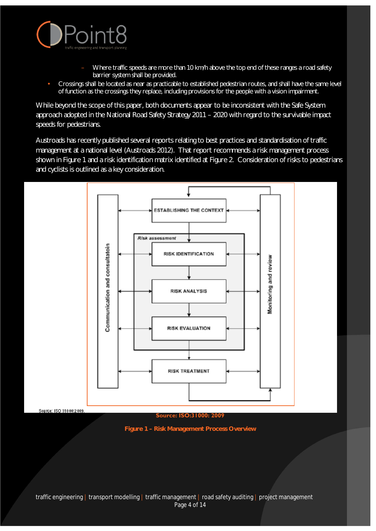

Source: ISO \$1000:2009

- Where traffic speeds are more than 10 km/h above the top end of these ranges a road safety barrier system shall be provided.
- Crossings shall be located as near as practicable to established pedestrian routes, and shall have the same level of function as the crossings they replace, including provisions for the people with a vision impairment.

While beyond the scope of this paper, both documents appear to be inconsistent with the Safe System approach adopted in the National Road Safety Strategy 2011 – 2020 with regard to the survivable impact speeds for pedestrians.

Austroads has recently published several reports relating to best practices and standardisation of traffic management at a national level (Austroads 2012). That report recommends a risk management process shown in Figure 1 and a risk identification matrix identified at Figure 2. Consideration of risks to pedestrians and cyclists is outlined as a key consideration.



**Source: ISO:31000: 2009**

**Figure 1 – Risk Management Process Overview**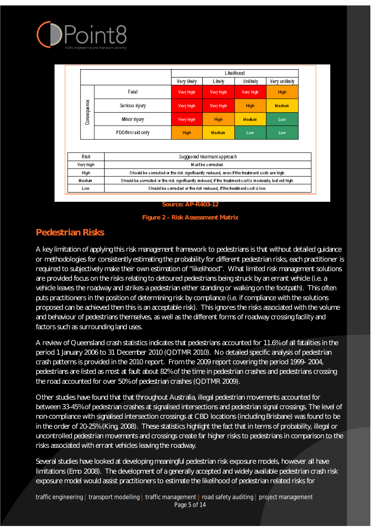

|             |                   | Like lihood                                                                                  |                                                                                                         |           |               |  |  |
|-------------|-------------------|----------------------------------------------------------------------------------------------|---------------------------------------------------------------------------------------------------------|-----------|---------------|--|--|
|             |                   | Very likely                                                                                  | Likely                                                                                                  | Unlikely  | Very unlikely |  |  |
| Consequence | Fatal             | Very high                                                                                    | Very high                                                                                               | Very high | <b>High</b>   |  |  |
|             | Serious injury    | Very high                                                                                    | Very high                                                                                               | High      | <b>Medium</b> |  |  |
|             | Minor injury      | Very high                                                                                    | High                                                                                                    | Medium    | Low           |  |  |
|             | PDO/firstaid.only | High                                                                                         | <b>Medium</b>                                                                                           | Low       | Low           |  |  |
|             |                   |                                                                                              |                                                                                                         |           |               |  |  |
| Risk        |                   | Suggested treatment approach                                                                 |                                                                                                         |           |               |  |  |
| Very high   |                   | Must be corrected.                                                                           |                                                                                                         |           |               |  |  |
|             |                   | Should be corrected or the risk significantly reduced, even if the treatment costs are high. |                                                                                                         |           |               |  |  |
| High        | Medium            |                                                                                              | Should be corrected or the risk significantly reduced, if the treatment cost is moderate, but not high. |           |               |  |  |
|             |                   |                                                                                              |                                                                                                         |           |               |  |  |

#### **Source: AP-R403-12**



# **Pedestrian Risks**

A key limitation of applying this risk management framework to pedestrians is that without detailed guidance or methodologies for consistently estimating the probability for different pedestrian risks, each practitioner is required to subjectively make their own estimation of "likelihood". What limited risk management solutions are provided focus on the risks relating to detoured pedestrians being struck by an errant vehicle (i.e. a vehicle leaves the roadway and strikes a pedestrian either standing or walking on the footpath). This often puts practitioners in the position of determining risk by compliance (i.e. if compliance with the solutions proposed can be achieved then this is an acceptable risk). This ignores the risks associated with the volume and behaviour of pedestrians themselves, as well as the different forms of roadway crossing facility and factors such as surrounding land uses.

A review of Queensland crash statistics indicates that pedestrians accounted for 11.6% of all fatalities in the period 1 January 2006 to 31 December 2010 (QDTMR 2010). No detailed specific analysis of pedestrian crash patterns is provided in the 2010 report. From the 2009 report covering the period 1999- 2004, pedestrians are listed as most at fault about 82% of the time in pedestrian crashes and pedestrians crossing the road accounted for over 50% of pedestrian crashes (QDTMR 2009).

Other studies have found that that throughout Australia, illegal pedestrian movements accounted for between 33-45% of pedestrian crashes at signalised intersections and pedestrian signal crossings. The level of non-compliance with signalised intersection crossings at CBD locations (including Brisbane) was found to be in the order of 20-25% (King, 2008). These statistics highlight the fact that in terms of probability, illegal or uncontrolled pedestrian movements and crossings create far higher risks to pedestrians in comparison to the risks associated with errant vehicles leaving the roadway.

Several studies have looked at developing meaningful pedestrian risk exposure models, however all have limitations (Emo 2008). The development of a generally accepted and widely available pedestrian crash risk exposure model would assist practitioners to estimate the likelihood of pedestrian related risks for

traffic engineering | transport modelling | traffic management | road safety auditing | project management Page 5 of 14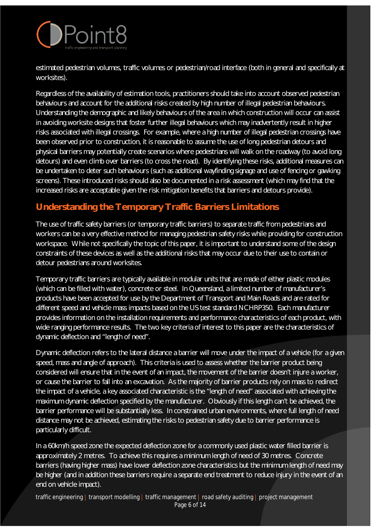

estimated pedestrian volumes, traffic volumes or pedestrian/road interface (both in general and specifically at worksites).

Regardless of the availability of estimation tools, practitioners should take into account observed pedestrian behaviours and account for the additional risks created by high number of illegal pedestrian behaviours. Understanding the demographic and likely behaviours of the area in which construction will occur can assist in avoiding worksite designs that foster further illegal behaviours which may inadvertently result in higher risks associated with illegal crossings. For example, where a high number of illegal pedestrian crossings have been observed prior to construction, it is reasonable to assume the use of long pedestrian detours and physical barriers may potentially create scenarios where pedestrians will walk on the roadway (to avoid long detours) and even climb over barriers (to cross the road). By identifying these risks, additional measures can be undertaken to deter such behaviours (such as additional wayfinding signage and use of fencing or gawking screens). These introduced risks should also be documented in a risk assessment (which may find that the increased risks are acceptable given the risk mitigation benefits that barriers and detours provide).

#### **Understanding the Temporary Traffic Barriers Limitations**

The use of traffic safety barriers (or temporary traffic barriers) to separate traffic from pedestrians and workers can be a very effective method for managing pedestrian safety risks while providing for construction workspace. While not specifically the topic of this paper, it is important to understand some of the design constraints of these devices as well as the additional risks that may occur due to their use to contain or detour pedestrians around worksites.

Temporary traffic barriers are typically available in modular units that are made of either plastic modules (which can be filled with water), concrete or steel. In Queensland, a limited number of manufacturer's products have been accepted for use by the Department of Transport and Main Roads and are rated for different speed and vehicle mass impacts based on the US test standard NCHRP350. Each manufacturer provides information on the installation requirements and performance characteristics of each product, with wide ranging performance results. The two key criteria of interest to this paper are the characteristics of dynamic deflection and "length of need".

Dynamic deflection refers to the lateral distance a barrier will move under the impact of a vehicle (for a given speed, mass and angle of approach). This criteria is used to assess whether the barrier product being considered will ensure that in the event of an impact, the movement of the barrier doesn't injure a worker, or cause the barrier to fall into an excavation. As the majority of barrier products rely on mass to redirect the impact of a vehicle, a key associated characteristic is the "length of need" associated with achieving the maximum dynamic deflection specified by the manufacturer. Obviously if this length can't be achieved, the barrier performance will be substantially less. In constrained urban environments, where full length of need distance may not be achieved, estimating the risks to pedestrian safety due to barrier performance is particularly difficult.

In a 60km/h speed zone the expected deflection zone for a commonly used plastic water filled barrier is approximately 2 metres. To achieve this requires a minimum length of need of 30 metres. Concrete barriers (having higher mass) have lower deflection zone characteristics but the minimum length of need may be higher (and in addition these barriers require a separate end treatment to reduce injury in the event of an end on vehicle impact).

traffic engineering | transport modelling | traffic management | road safety auditing | project management Page 6 of 14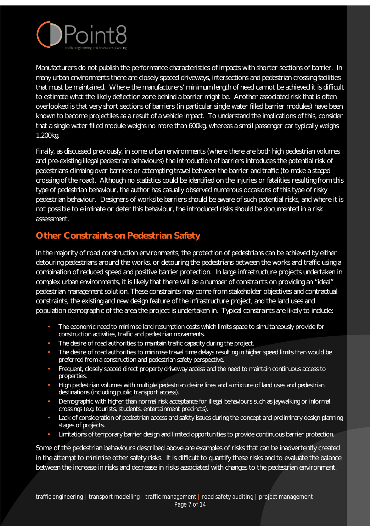

Manufacturers do not publish the performance characteristics of impacts with shorter sections of barrier. In many urban environments there are closely spaced driveways, intersections and pedestrian crossing facilities that must be maintained. Where the manufacturers' minimum length of need cannot be achieved it is difficult to estimate what the likely deflection zone behind a barrier might be. Another associated risk that is often overlooked is that very short sections of barriers (in particular single water filled barrier modules) have been known to become projectiles as a result of a vehicle impact. To understand the implications of this, consider that a single water filled module weighs no more than 600kg, whereas a small passenger car typically weighs 1,200kg.

Finally, as discussed previously, in some urban environments (where there are both high pedestrian volumes and pre-existing illegal pedestrian behaviours) the introduction of barriers introduces the potential risk of pedestrians climbing over barriers or attempting travel between the barrier and traffic (to make a staged crossing of the road). Although no statistics could be identified on the injuries or fatalities resulting from this type of pedestrian behaviour, the author has casually observed numerous occasions of this type of risky pedestrian behaviour. Designers of worksite barriers should be aware of such potential risks, and where it is not possible to eliminate or deter this behaviour, the introduced risks should be documented in a risk assessment.

#### **Other Constraints on Pedestrian Safety**

In the majority of road construction environments, the protection of pedestrians can be achieved by either detouring pedestrians around the works, or detouring the pedestrians between the works and traffic using a combination of reduced speed and positive barrier protection. In large infrastructure projects undertaken in complex urban environments, it is likely that there will be a number of constraints on providing an "ideal" pedestrian management solution. These constraints may come from stakeholder objectives and contractual constraints, the existing and new design feature of the infrastructure project, and the land uses and population demographic of the area the project is undertaken in. Typical constraints are likely to include:

- The economic need to minimise land resumption costs which limits space to simultaneously provide for construction activities, traffic and pedestrian movements.
- The desire of road authorities to maintain traffic capacity during the project.
- The desire of road authorities to minimise travel time delays resulting in higher speed limits than would be preferred from a construction and pedestrian safety perspective.
- Frequent, closely spaced direct property driveway access and the need to maintain continuous access to properties.
- High pedestrian volumes with multiple pedestrian desire lines and a mixture of land uses and pedestrian destinations (including public transport access).
- Demographic with higher than normal risk acceptance for illegal behaviours such as jaywalking or informal crossings (e.g. tourists, students, entertainment precincts).
- Lack of consideration of pedestrian access and safety issues during the concept and preliminary design planning stages of projects.
- Limitations of temporary barrier design and limited opportunities to provide continuous barrier protection.

Some of the pedestrian behaviours described above are examples of risks that can be inadvertently created in the attempt to minimise other safety risks. It is difficult to quantify these risks and to evaluate the balance between the increase in risks and decrease in risks associated with changes to the pedestrian environment.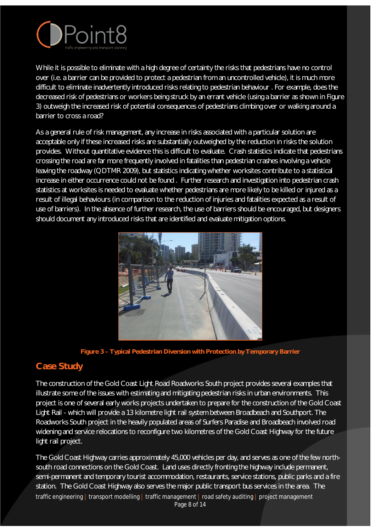

While it is possible to eliminate with a high degree of certainty the risks that pedestrians have no control over (i.e. a barrier can be provided to protect a pedestrian from an uncontrolled vehicle), it is much more difficult to eliminate inadvertently introduced risks relating to pedestrian behaviour . For example, does the decreased risk of pedestrians or workers being struck by an errant vehicle (using a barrier as shown in Figure 3) outweigh the increased risk of potential consequences of pedestrians climbing over or walking around a barrier to cross a road?

As a general rule of risk management, any increase in risks associated with a particular solution are acceptable only if these increased risks are substantially outweighed by the reduction in risks the solution provides. Without quantitative evidence this is difficult to evaluate. Crash statistics indicate that pedestrians crossing the road are far more frequently involved in fatalities than pedestrian crashes involving a vehicle leaving the roadway (QDTMR 2009), but statistics indicating whether worksites contribute to a statistical increase in either occurrence could not be found . Further research and investigation into pedestrian crash statistics at worksites is needed to evaluate whether pedestrians are more likely to be killed or injured as a result of illegal behaviours (in comparison to the reduction of injuries and fatalities expected as a result of use of barriers). In the absence of further research, the use of barriers should be encouraged, but designers should document any introduced risks that are identified and evaluate mitigation options.



**Figure 3 – Typical Pedestrian Diversion with Protection by Temporary Barrier** 

### **Case Study**

The construction of the Gold Coast Light Road Roadworks South project provides several examples that illustrate some of the issues with estimating and mitigating pedestrian risks in urban environments. This project is one of several early works projects undertaken to prepare for the construction of the Gold Coast Light Rail - which will provide a 13 kilometre light rail system between Broadbeach and Southport. The Roadworks South project in the heavily populated areas of Surfers Paradise and Broadbeach involved road widening and service relocations to reconfigure two kilometres of the Gold Coast Highway for the future light rail project.

The Gold Coast Highway carries approximately 45,000 vehicles per day, and serves as one of the few northsouth road connections on the Gold Coast. Land uses directly fronting the highway include permanent, semi-permanent and temporary tourist accommodation, restaurants, service stations, public parks and a fire station. The Gold Coast Highway also serves the major public transport bus services in the area. The traffic engineering | transport modelling | traffic management | road safety auditing | project management Page 8 of 14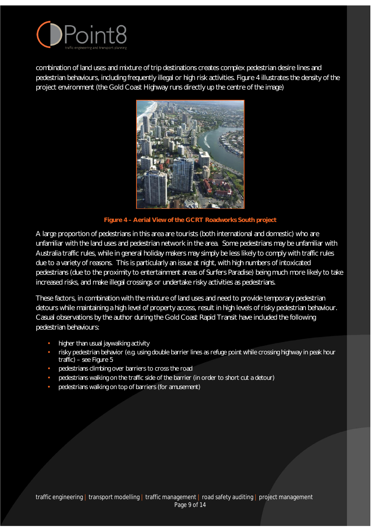

combination of land uses and mixture of trip destinations creates complex pedestrian desire lines and pedestrian behaviours, including frequently illegal or high risk activities. Figure 4 illustrates the density of the project environment (the Gold Coast Highway runs directly up the centre of the image)



**Figure 4 – Aerial View of the GCRT Roadworks South project**

A large proportion of pedestrians in this area are tourists (both international and domestic) who are unfamiliar with the land uses and pedestrian network in the area. Some pedestrians may be unfamiliar with Australia traffic rules, while in general holiday makers may simply be less likely to comply with traffic rules due to a variety of reasons. This is particularly an issue at night, with high numbers of intoxicated pedestrians (due to the proximity to entertainment areas of Surfers Paradise) being much more likely to take increased risks, and make illegal crossings or undertake risky activities as pedestrians.

These factors, in combination with the mixture of land uses and need to provide temporary pedestrian detours while maintaining a high level of property access, result in high levels of risky pedestrian behaviour. Casual observations by the author during the Gold Coast Rapid Transit have included the following pedestrian behaviours:

- higher than usual jaywalking activity
- risky pedestrian behavior (e.g. using double barrier lines as refuge point while crossing highway in peak hour traffic) – see Figure 5
- pedestrians climbing over barriers to cross the road
- pedestrians walking on the traffic side of the barrier (in order to short cut a detour)
- pedestrians walking on top of barriers (for amusement)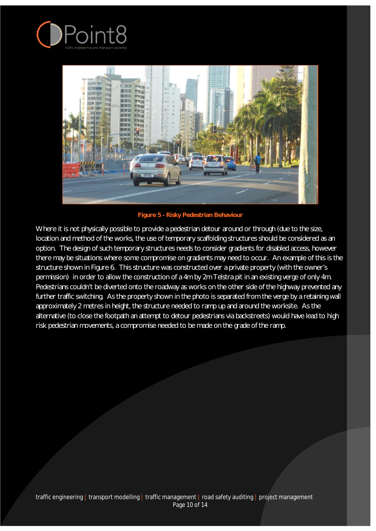



**Figure 5 - Risky Pedestrian Behaviour** 

Where it is not physically possible to provide a pedestrian detour around or through (due to the size, location and method of the works, the use of temporary scaffolding structures should be considered as an option. The design of such temporary structures needs to consider gradients for disabled access, however there may be situations where some compromise on gradients may need to occur. An example of this is the structure shown in Figure 6. This structure was constructed over a private property (with the owner's permission) in order to allow the construction of a 4m by 2m Telstra pit in an existing verge of only 4m. Pedestrians couldn't be diverted onto the roadway as works on the other side of the highway prevented any further traffic switching. As the property shown in the photo is separated from the verge by a retaining wall approximately 2 metres in height, the structure needed to ramp up and around the worksite. As the alternative (to close the footpath an attempt to detour pedestrians via backstreets) would have lead to high risk pedestrian movements, a compromise needed to be made on the grade of the ramp.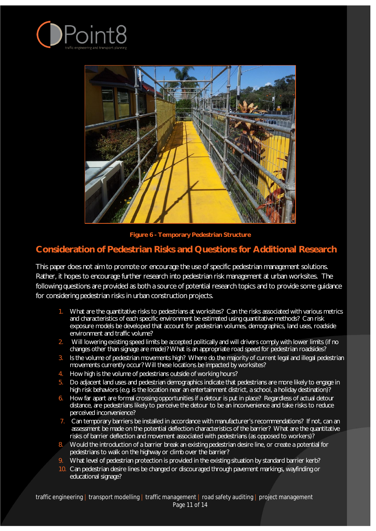



**Figure 6 - Temporary Pedestrian Structure**

#### **Consideration of Pedestrian Risks and Questions for Additional Research**

This paper does not aim to promote or encourage the use of specific pedestrian management solutions. Rather, it hopes to encourage further research into pedestrian risk management at urban worksites. The following questions are provided as both a source of potential research topics and to provide some guidance for considering pedestrian risks in urban construction projects.

- 1. What are the quantitative risks to pedestrians at worksites? Can the risks associated with various metrics and characteristics of each specific environment be estimated using quantitative methods? Can risk exposure models be developed that account for pedestrian volumes, demographics, land uses, roadside environment and traffic volume?
- 2. Will lowering existing speed limits be accepted politically and will drivers comply with lower limits (if no changes other than signage are made)? What is an appropriate road speed for pedestrian roadsides?
- 3. Is the volume of pedestrian movements high? Where do the majority of current legal and illegal pedestrian movements currently occur? Will these locations be impacted by worksites?
- 4. How high is the volume of pedestrians outside of working hours?
- 5. Do adjacent land uses and pedestrian demographics indicate that pedestrians are more likely to engage in high risk behaviors (e.g. is the location near an entertainment district, a school, a holiday destination)?
- 6. How far apart are formal crossing opportunities if a detour is put in place? Regardless of actual detour distance, are pedestrians likely to perceive the detour to be an inconvenience and take risks to reduce perceived inconvenience?
- 7. Can temporary barriers be installed in accordance with manufacturer's recommendations? If not, can an assessment be made on the potential deflection characteristics of the barrier? What are the quantitative risks of barrier deflection and movement associated with pedestrians (as opposed to workers)?
- 8. Would the introduction of a barrier break an existing pedestrian desire line, or create a potential for pedestrians to walk on the highway or climb over the barrier?
- What level of pedestrian protection is provided in the existing situation by standard barrier kerb?
- 10. Can pedestrian desire lines be changed or discouraged through pavement markings, wayfinding or educational signage?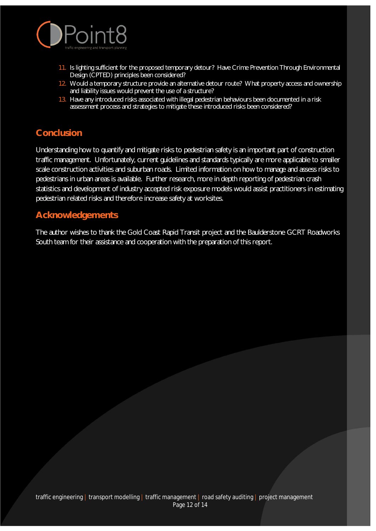

- 11. Is lighting sufficient for the proposed temporary detour? Have Crime Prevention Through Environmental Design (CPTED) principles been considered?
- 12. Would a temporary structure provide an alternative detour route? What property access and ownership and liability issues would prevent the use of a structure?
- 13. Have any introduced risks associated with illegal pedestrian behaviours been documented in a risk assessment process and strategies to mitigate these introduced risks been considered?

#### **Conclusion**

Understanding how to quantify and mitigate risks to pedestrian safety is an important part of construction traffic management. Unfortunately, current guidelines and standards typically are more applicable to smaller scale construction activities and suburban roads. Limited information on how to manage and assess risks to pedestrians in urban areas is available. Further research, more in depth reporting of pedestrian crash statistics and development of industry accepted risk exposure models would assist practitioners in estimating pedestrian related risks and therefore increase safety at worksites.

#### **Acknowledgements**

The author wishes to thank the Gold Coast Rapid Transit project and the Baulderstone GCRT Roadworks South team for their assistance and cooperation with the preparation of this report.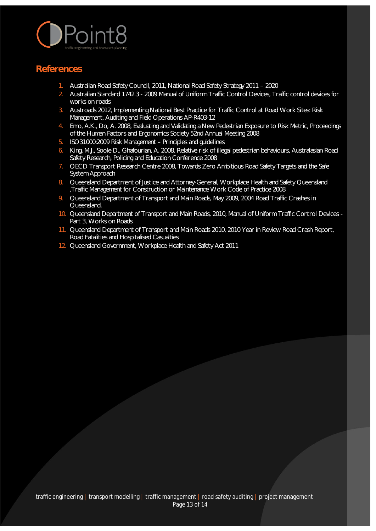

#### **References**

- 1. Australian Road Safety Council, 2011, National Road Safety Strategy 2011 2020
- 2. Australian Standard 1742.3 2009 Manual of Uniform Traffic Control Devices, Traffic control devices for works on roads
- 3. Austroads 2012, Implementing National Best Practice for Traffic Control at Road Work Sites: Risk Management, Auditing and Field Operations AP-R403-12
- 4. Emo, A.K., Do, A. 2008, Evaluating and Validating a New Pedestrian Exposure to Risk Metric, Proceedings of the Human Factors and Ergonomics Society 52nd Annual Meeting 2008
- 5. ISO31000:2009 Risk Management Principles and guidelines
- 6. King, M.J., Soole D., Ghafourian, A. 2008. Relative risk of illegal pedestrian behaviours, Australasian Road Safety Research, Policing and Education Conference 2008
- 7. OECD Transport Research Centre 2008, Towards Zero Ambitious Road Safety Targets and the Safe System Approach
- 8. Queensland Department of Justice and Attorney-General, Workplace Health and Safety Queensland ,Traffic Management for Construction or Maintenance Work Code of Practice 2008
- 9. Queensland Department of Transport and Main Roads, May 2009, 2004 Road Traffic Crashes in Queensland.
- 10. Queensland Department of Transport and Main Roads, 2010, Manual of Uniform Traffic Control Devices -Part 3, Works on Roads
- 11. Queensland Department of Transport and Main Roads 2010, 2010 Year in Review Road Crash Report, Road Fatalities and Hospitalised Casualties
- 12. Queensland Government, Workplace Health and Safety Act 2011